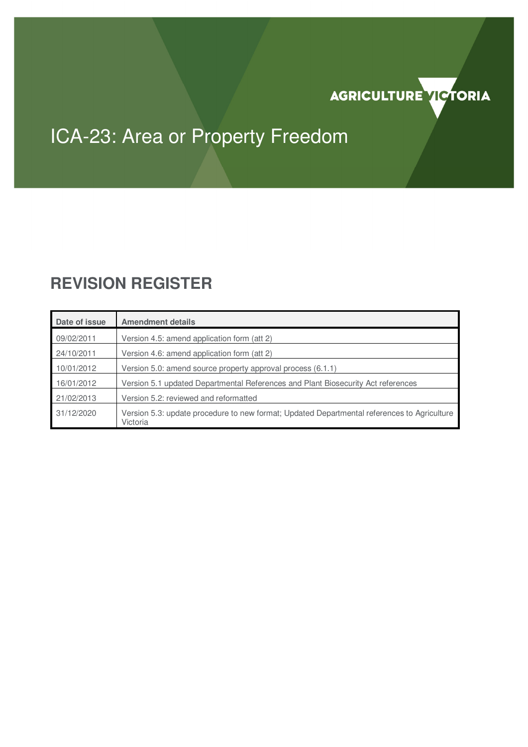

# ICA-23: Area or Property Freedom

## **REVISION REGISTER**

| Date of issue | <b>Amendment details</b>                                                                                |
|---------------|---------------------------------------------------------------------------------------------------------|
| 09/02/2011    | Version 4.5: amend application form (att 2)                                                             |
| 24/10/2011    | Version 4.6: amend application form (att 2)                                                             |
| 10/01/2012    | Version 5.0: amend source property approval process (6.1.1)                                             |
| 16/01/2012    | Version 5.1 updated Departmental References and Plant Biosecurity Act references                        |
| 21/02/2013    | Version 5.2: reviewed and reformatted                                                                   |
| 31/12/2020    | Version 5.3: update procedure to new format; Updated Departmental references to Agriculture<br>Victoria |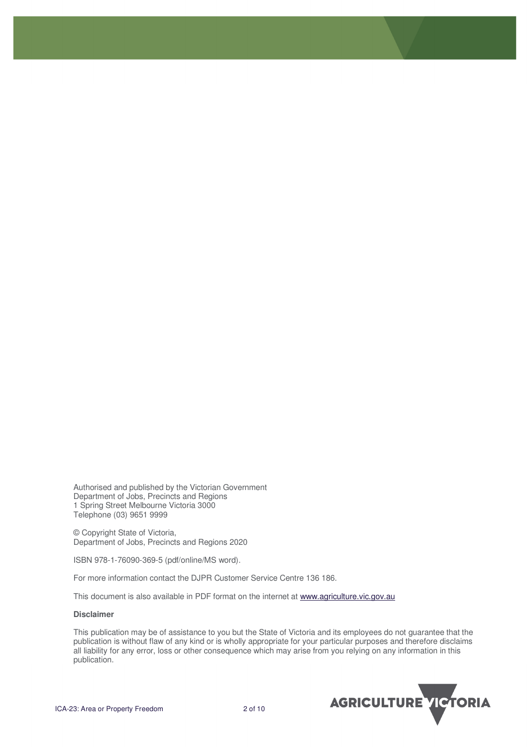Authorised and published by the Victorian Government Department of Jobs, Precincts and Regions 1 Spring Street Melbourne Victoria 3000 Telephone (03) 9651 9999

© Copyright State of Victoria, Department of Jobs, Precincts and Regions 2020

ISBN 978-1-76090-369-5 (pdf/online/MS word).

For more information contact the DJPR Customer Service Centre 136 186.

This document is also available in PDF format on the internet at www.agriculture.vic.gov.au

#### **Disclaimer**

This publication may be of assistance to you but the State of Victoria and its employees do not guarantee that the publication is without flaw of any kind or is wholly appropriate for your particular purposes and therefore disclaims all liability for any error, loss or other consequence which may arise from you relying on any information in this publication.

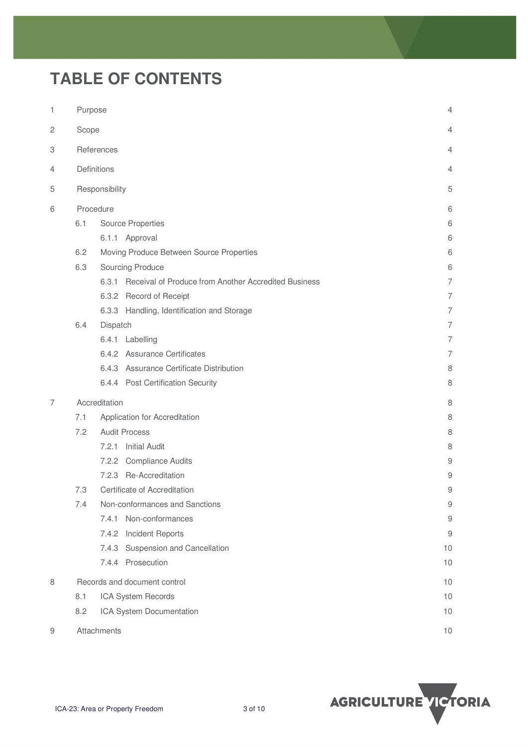## **TABLE OF CONTENTS**

| 1              | Purpose                      |                      |                                                            |                  |  |
|----------------|------------------------------|----------------------|------------------------------------------------------------|------------------|--|
| $\overline{c}$ | Scope                        | 4                    |                                                            |                  |  |
| 3              | References                   | $\overline{4}$       |                                                            |                  |  |
| 4              |                              | Definitions          |                                                            | 4                |  |
| 5              |                              | Responsibility       |                                                            | 5                |  |
|                |                              |                      |                                                            |                  |  |
| 6              |                              | Procedure            |                                                            | 6                |  |
|                | 6.1                          |                      | <b>Source Properties</b>                                   | 6                |  |
|                |                              |                      | 6.1.1 Approval                                             | 6                |  |
|                | 6.2                          |                      | Moving Produce Between Source Properties                   | 6                |  |
|                | 6.3                          |                      | Sourcing Produce                                           | 6                |  |
|                |                              |                      | 6.3.1 Receival of Produce from Another Accredited Business | 7                |  |
|                |                              |                      | 6.3.2 Record of Receipt                                    | $\overline{7}$   |  |
|                |                              |                      | 6.3.3 Handling, Identification and Storage                 | $\overline{7}$   |  |
|                | 6.4                          | Dispatch             |                                                            |                  |  |
|                |                              |                      | 6.4.1 Labelling                                            | 7                |  |
|                |                              |                      | 6.4.2 Assurance Certificates                               | $\overline{7}$   |  |
|                |                              |                      | 6.4.3 Assurance Certificate Distribution                   | 8                |  |
|                |                              |                      | 6.4.4 Post Certification Security                          | 8                |  |
| 7              |                              | Accreditation        |                                                            | 8                |  |
|                | 7.1                          |                      | Application for Accreditation                              | 8                |  |
|                | 7.2                          | <b>Audit Process</b> | 8                                                          |                  |  |
|                |                              | 7.2.1                | <b>Initial Audit</b>                                       | 8                |  |
|                |                              |                      | 7.2.2 Compliance Audits                                    | 9                |  |
|                |                              |                      | 7.2.3 Re-Accreditation                                     | 9                |  |
|                | 7.3                          |                      | Certificate of Accreditation                               | 9                |  |
|                | 7.4                          |                      | Non-conformances and Sanctions                             | 9                |  |
|                |                              | 7.4.1                | Non-conformances                                           | $\boldsymbol{9}$ |  |
|                |                              | 7.4.2                | Incident Reports                                           | 9                |  |
|                |                              |                      | 7.4.3 Suspension and Cancellation                          | 10               |  |
|                |                              |                      | 7.4.4 Prosecution                                          | 10               |  |
| 8              | Records and document control |                      |                                                            | 10               |  |
|                | 8.1                          | 10                   |                                                            |                  |  |
|                | 8.2                          | 10                   |                                                            |                  |  |
| 9              | Attachments                  | 10                   |                                                            |                  |  |

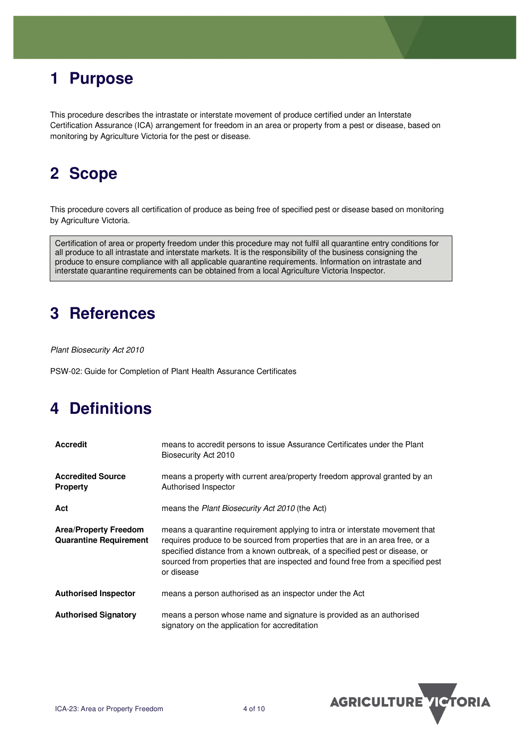## **1 Purpose**

This procedure describes the intrastate or interstate movement of produce certified under an Interstate Certification Assurance (ICA) arrangement for freedom in an area or property from a pest or disease, based on monitoring by Agriculture Victoria for the pest or disease.

## **2 Scope**

This procedure covers all certification of produce as being free of specified pest or disease based on monitoring by Agriculture Victoria.

Certification of area or property freedom under this procedure may not fulfil all quarantine entry conditions for all produce to all intrastate and interstate markets. It is the responsibility of the business consigning the produce to ensure compliance with all applicable quarantine requirements. Information on intrastate and interstate quarantine requirements can be obtained from a local Agriculture Victoria Inspector.

### **3 References**

Plant Biosecurity Act 2010

PSW-02: Guide for Completion of Plant Health Assurance Certificates

## **4 Definitions**

| <b>Accredit</b>                                               | means to accredit persons to issue Assurance Certificates under the Plant<br>Biosecurity Act 2010                                                                                                                                                                                                                                              |
|---------------------------------------------------------------|------------------------------------------------------------------------------------------------------------------------------------------------------------------------------------------------------------------------------------------------------------------------------------------------------------------------------------------------|
| <b>Accredited Source</b><br><b>Property</b>                   | means a property with current area/property freedom approval granted by an<br>Authorised Inspector                                                                                                                                                                                                                                             |
| Act                                                           | means the Plant Biosecurity Act 2010 (the Act)                                                                                                                                                                                                                                                                                                 |
| <b>Area/Property Freedom</b><br><b>Quarantine Requirement</b> | means a quarantine requirement applying to intra or interstate movement that<br>requires produce to be sourced from properties that are in an area free, or a<br>specified distance from a known outbreak, of a specified pest or disease, or<br>sourced from properties that are inspected and found free from a specified pest<br>or disease |
| <b>Authorised Inspector</b>                                   | means a person authorised as an inspector under the Act                                                                                                                                                                                                                                                                                        |
| <b>Authorised Signatory</b>                                   | means a person whose name and signature is provided as an authorised<br>signatory on the application for accreditation                                                                                                                                                                                                                         |

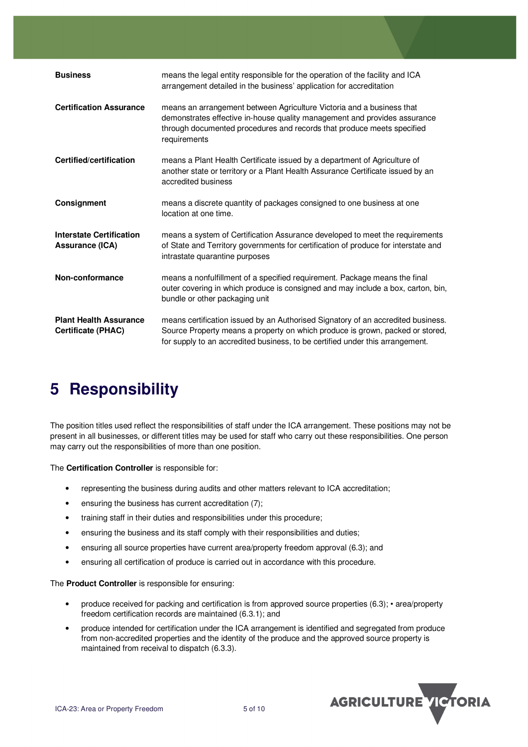| <b>Business</b>                                            | means the legal entity responsible for the operation of the facility and ICA<br>arrangement detailed in the business' application for accreditation                                                                                                |
|------------------------------------------------------------|----------------------------------------------------------------------------------------------------------------------------------------------------------------------------------------------------------------------------------------------------|
| <b>Certification Assurance</b>                             | means an arrangement between Agriculture Victoria and a business that<br>demonstrates effective in-house quality management and provides assurance<br>through documented procedures and records that produce meets specified<br>requirements       |
| Certified/certification                                    | means a Plant Health Certificate issued by a department of Agriculture of<br>another state or territory or a Plant Health Assurance Certificate issued by an<br>accredited business                                                                |
| Consignment                                                | means a discrete quantity of packages consigned to one business at one<br>location at one time.                                                                                                                                                    |
| <b>Interstate Certification</b><br><b>Assurance (ICA)</b>  | means a system of Certification Assurance developed to meet the requirements<br>of State and Territory governments for certification of produce for interstate and<br>intrastate quarantine purposes                                               |
| Non-conformance                                            | means a nonfulfillment of a specified requirement. Package means the final<br>outer covering in which produce is consigned and may include a box, carton, bin,<br>bundle or other packaging unit                                                   |
| <b>Plant Health Assurance</b><br><b>Certificate (PHAC)</b> | means certification issued by an Authorised Signatory of an accredited business.<br>Source Property means a property on which produce is grown, packed or stored,<br>for supply to an accredited business, to be certified under this arrangement. |

## **5 Responsibility**

The position titles used reflect the responsibilities of staff under the ICA arrangement. These positions may not be present in all businesses, or different titles may be used for staff who carry out these responsibilities. One person may carry out the responsibilities of more than one position.

The **Certification Controller** is responsible for:

- representing the business during audits and other matters relevant to ICA accreditation;
- ensuring the business has current accreditation (7);
- training staff in their duties and responsibilities under this procedure;
- ensuring the business and its staff comply with their responsibilities and duties:
- ensuring all source properties have current area/property freedom approval (6.3); and
- ensuring all certification of produce is carried out in accordance with this procedure.

The **Product Controller** is responsible for ensuring:

- produce received for packing and certification is from approved source properties (6.3); area/property freedom certification records are maintained (6.3.1); and
- produce intended for certification under the ICA arrangement is identified and segregated from produce from non-accredited properties and the identity of the produce and the approved source property is maintained from receival to dispatch (6.3.3).

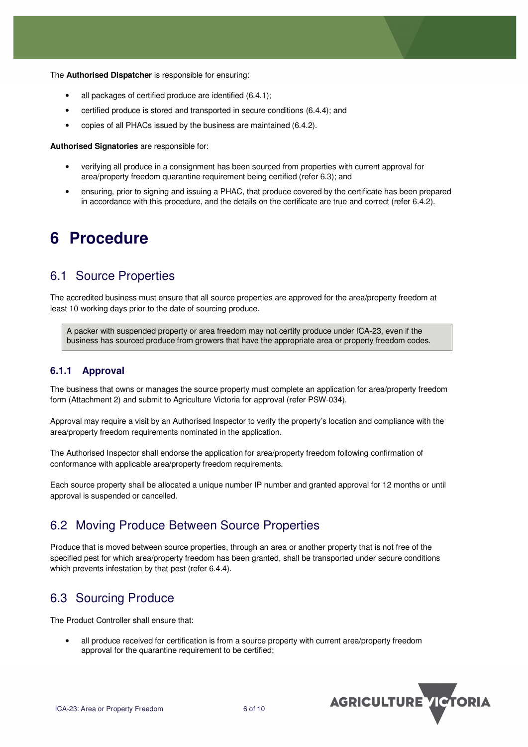The **Authorised Dispatcher** is responsible for ensuring:

- all packages of certified produce are identified (6.4.1);
- certified produce is stored and transported in secure conditions (6.4.4); and
- copies of all PHACs issued by the business are maintained (6.4.2).

**Authorised Signatories** are responsible for:

- verifying all produce in a consignment has been sourced from properties with current approval for area/property freedom quarantine requirement being certified (refer 6.3); and
- ensuring, prior to signing and issuing a PHAC, that produce covered by the certificate has been prepared in accordance with this procedure, and the details on the certificate are true and correct (refer 6.4.2).

### **6 Procedure**

### 6.1 Source Properties

The accredited business must ensure that all source properties are approved for the area/property freedom at least 10 working days prior to the date of sourcing produce.

A packer with suspended property or area freedom may not certify produce under ICA-23, even if the business has sourced produce from growers that have the appropriate area or property freedom codes.

#### **6.1.1 Approval**

The business that owns or manages the source property must complete an application for area/property freedom form (Attachment 2) and submit to Agriculture Victoria for approval (refer PSW-034).

Approval may require a visit by an Authorised Inspector to verify the property's location and compliance with the area/property freedom requirements nominated in the application.

The Authorised Inspector shall endorse the application for area/property freedom following confirmation of conformance with applicable area/property freedom requirements.

Each source property shall be allocated a unique number IP number and granted approval for 12 months or until approval is suspended or cancelled.

### 6.2 Moving Produce Between Source Properties

Produce that is moved between source properties, through an area or another property that is not free of the specified pest for which area/property freedom has been granted, shall be transported under secure conditions which prevents infestation by that pest (refer 6.4.4).

### 6.3 Sourcing Produce

The Product Controller shall ensure that:

• all produce received for certification is from a source property with current area/property freedom approval for the quarantine requirement to be certified;

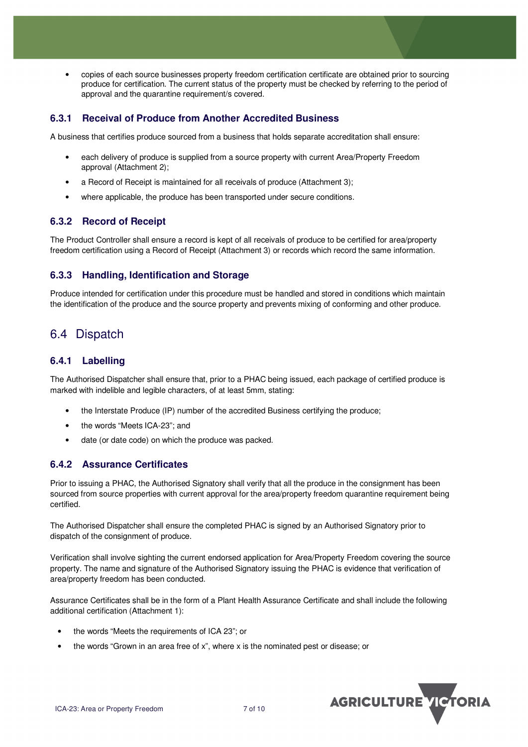• copies of each source businesses property freedom certification certificate are obtained prior to sourcing produce for certification. The current status of the property must be checked by referring to the period of approval and the quarantine requirement/s covered.

#### **6.3.1 Receival of Produce from Another Accredited Business**

A business that certifies produce sourced from a business that holds separate accreditation shall ensure:

- each delivery of produce is supplied from a source property with current Area/Property Freedom approval (Attachment 2);
- a Record of Receipt is maintained for all receivals of produce (Attachment 3);
- where applicable, the produce has been transported under secure conditions.

#### **6.3.2 Record of Receipt**

The Product Controller shall ensure a record is kept of all receivals of produce to be certified for area/property freedom certification using a Record of Receipt (Attachment 3) or records which record the same information.

#### **6.3.3 Handling, Identification and Storage**

Produce intended for certification under this procedure must be handled and stored in conditions which maintain the identification of the produce and the source property and prevents mixing of conforming and other produce.

### 6.4 Dispatch

#### **6.4.1 Labelling**

The Authorised Dispatcher shall ensure that, prior to a PHAC being issued, each package of certified produce is marked with indelible and legible characters, of at least 5mm, stating:

- the Interstate Produce (IP) number of the accredited Business certifying the produce;
- the words "Meets ICA-23"; and
- date (or date code) on which the produce was packed.

#### **6.4.2 Assurance Certificates**

Prior to issuing a PHAC, the Authorised Signatory shall verify that all the produce in the consignment has been sourced from source properties with current approval for the area/property freedom quarantine requirement being certified.

The Authorised Dispatcher shall ensure the completed PHAC is signed by an Authorised Signatory prior to dispatch of the consignment of produce.

Verification shall involve sighting the current endorsed application for Area/Property Freedom covering the source property. The name and signature of the Authorised Signatory issuing the PHAC is evidence that verification of area/property freedom has been conducted.

Assurance Certificates shall be in the form of a Plant Health Assurance Certificate and shall include the following additional certification (Attachment 1):

- the words "Meets the requirements of ICA 23"; or
- the words "Grown in an area free of x", where x is the nominated pest or disease; or

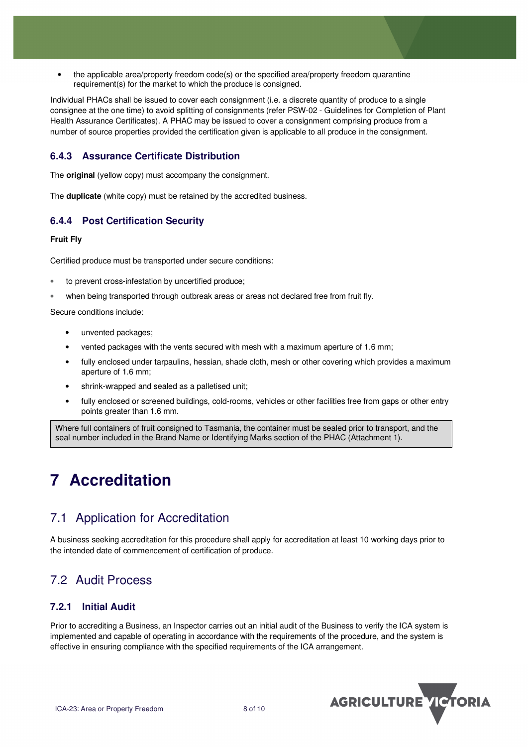• the applicable area/property freedom code(s) or the specified area/property freedom quarantine requirement(s) for the market to which the produce is consigned.

Individual PHACs shall be issued to cover each consignment (i.e. a discrete quantity of produce to a single consignee at the one time) to avoid splitting of consignments (refer PSW-02 - Guidelines for Completion of Plant Health Assurance Certificates). A PHAC may be issued to cover a consignment comprising produce from a number of source properties provided the certification given is applicable to all produce in the consignment.

#### **6.4.3 Assurance Certificate Distribution**

The **original** (yellow copy) must accompany the consignment.

The **duplicate** (white copy) must be retained by the accredited business.

#### **6.4.4 Post Certification Security**

#### **Fruit Fly**

Certified produce must be transported under secure conditions:

- to prevent cross-infestation by uncertified produce;
- when being transported through outbreak areas or areas not declared free from fruit fly.

Secure conditions include:

- unvented packages;
- vented packages with the vents secured with mesh with a maximum aperture of 1.6 mm;
- fully enclosed under tarpaulins, hessian, shade cloth, mesh or other covering which provides a maximum aperture of 1.6 mm;
- shrink-wrapped and sealed as a palletised unit;
- fully enclosed or screened buildings, cold-rooms, vehicles or other facilities free from gaps or other entry points greater than 1.6 mm.

Where full containers of fruit consigned to Tasmania, the container must be sealed prior to transport, and the seal number included in the Brand Name or Identifying Marks section of the PHAC (Attachment 1).

## **7 Accreditation**

### 7.1 Application for Accreditation

A business seeking accreditation for this procedure shall apply for accreditation at least 10 working days prior to the intended date of commencement of certification of produce.

### 7.2 Audit Process

#### **7.2.1 Initial Audit**

Prior to accrediting a Business, an Inspector carries out an initial audit of the Business to verify the ICA system is implemented and capable of operating in accordance with the requirements of the procedure, and the system is effective in ensuring compliance with the specified requirements of the ICA arrangement.

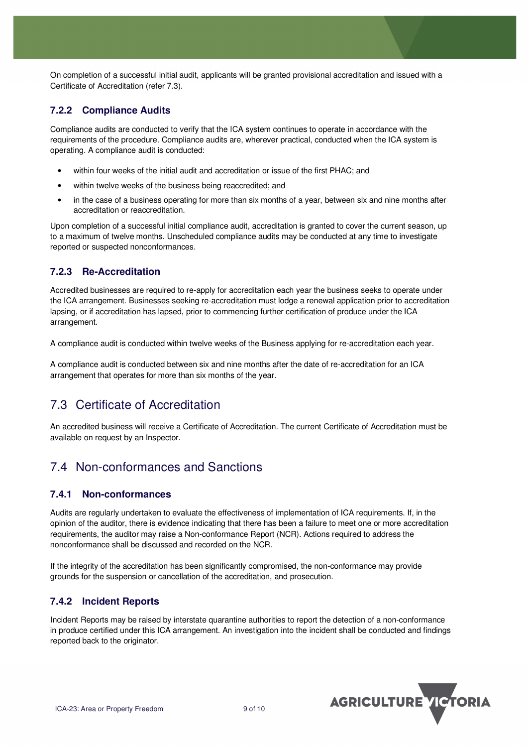On completion of a successful initial audit, applicants will be granted provisional accreditation and issued with a Certificate of Accreditation (refer 7.3).

#### **7.2.2 Compliance Audits**

Compliance audits are conducted to verify that the ICA system continues to operate in accordance with the requirements of the procedure. Compliance audits are, wherever practical, conducted when the ICA system is operating. A compliance audit is conducted:

- within four weeks of the initial audit and accreditation or issue of the first PHAC; and
- within twelve weeks of the business being reaccredited; and
- in the case of a business operating for more than six months of a year, between six and nine months after accreditation or reaccreditation.

Upon completion of a successful initial compliance audit, accreditation is granted to cover the current season, up to a maximum of twelve months. Unscheduled compliance audits may be conducted at any time to investigate reported or suspected nonconformances.

#### **7.2.3 Re-Accreditation**

Accredited businesses are required to re-apply for accreditation each year the business seeks to operate under the ICA arrangement. Businesses seeking re-accreditation must lodge a renewal application prior to accreditation lapsing, or if accreditation has lapsed, prior to commencing further certification of produce under the ICA arrangement.

A compliance audit is conducted within twelve weeks of the Business applying for re-accreditation each year.

A compliance audit is conducted between six and nine months after the date of re-accreditation for an ICA arrangement that operates for more than six months of the year.

### 7.3 Certificate of Accreditation

An accredited business will receive a Certificate of Accreditation. The current Certificate of Accreditation must be available on request by an Inspector.

### 7.4 Non-conformances and Sanctions

#### **7.4.1 Non-conformances**

Audits are regularly undertaken to evaluate the effectiveness of implementation of ICA requirements. If, in the opinion of the auditor, there is evidence indicating that there has been a failure to meet one or more accreditation requirements, the auditor may raise a Non-conformance Report (NCR). Actions required to address the nonconformance shall be discussed and recorded on the NCR.

If the integrity of the accreditation has been significantly compromised, the non-conformance may provide grounds for the suspension or cancellation of the accreditation, and prosecution.

#### **7.4.2 Incident Reports**

Incident Reports may be raised by interstate quarantine authorities to report the detection of a non-conformance in produce certified under this ICA arrangement. An investigation into the incident shall be conducted and findings reported back to the originator.

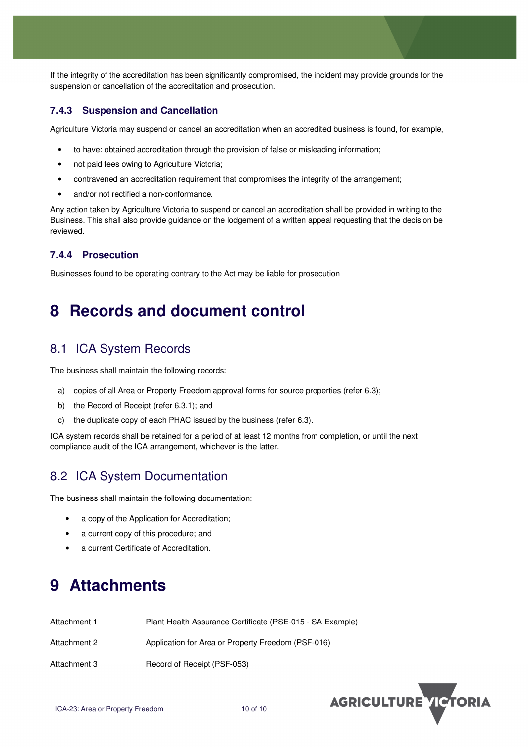If the integrity of the accreditation has been significantly compromised, the incident may provide grounds for the suspension or cancellation of the accreditation and prosecution.

#### **7.4.3 Suspension and Cancellation**

Agriculture Victoria may suspend or cancel an accreditation when an accredited business is found, for example,

- to have: obtained accreditation through the provision of false or misleading information;
- not paid fees owing to Agriculture Victoria:
- contravened an accreditation requirement that compromises the integrity of the arrangement;
- and/or not rectified a non-conformance.

Any action taken by Agriculture Victoria to suspend or cancel an accreditation shall be provided in writing to the Business. This shall also provide guidance on the lodgement of a written appeal requesting that the decision be reviewed.

#### **7.4.4 Prosecution**

Businesses found to be operating contrary to the Act may be liable for prosecution

### **8 Records and document control**

### 8.1 ICA System Records

The business shall maintain the following records:

- a) copies of all Area or Property Freedom approval forms for source properties (refer 6.3);
- b) the Record of Receipt (refer 6.3.1); and
- c) the duplicate copy of each PHAC issued by the business (refer 6.3).

ICA system records shall be retained for a period of at least 12 months from completion, or until the next compliance audit of the ICA arrangement, whichever is the latter.

### 8.2 ICA System Documentation

The business shall maintain the following documentation:

- a copy of the Application for Accreditation;
- a current copy of this procedure; and
- a current Certificate of Accreditation.

## **9 Attachments**

| Attachment 1 | Plant Health Assurance Certificate (PSE-015 - SA Example) |
|--------------|-----------------------------------------------------------|
| Attachment 2 | Application for Area or Property Freedom (PSF-016)        |
| Attachment 3 | Record of Receipt (PSF-053)                               |

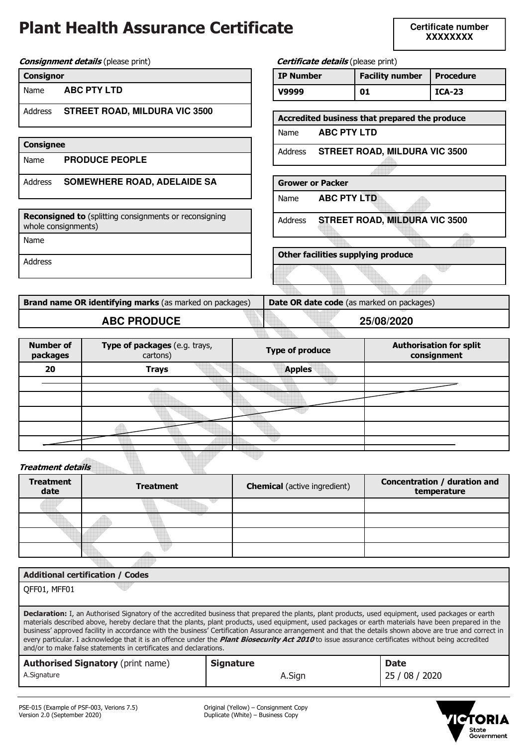## **Plant Health Assurance Certificate**

**Certificate number XXXXXXXX** 

**Consignment details** (please print) **Centificate details** (please print)

| <b>Consignor</b> |
|------------------|
|------------------|

| Name |  | <b>ABC PTY LTD</b> |  |
|------|--|--------------------|--|
|------|--|--------------------|--|

Address **STREET ROAD, MILDURA VIC 3500**

| Consignee |                       |  |  |  |  |
|-----------|-----------------------|--|--|--|--|
| Name      | <b>PRODUCE PEOPLE</b> |  |  |  |  |

Address **SOMEWHERE ROAD, ADELAIDE SA**

**Reconsigned to** (splitting consignments or reconsigning whole consignments)

Name

Address

**Brand name OR identifying marks** (as marked on packages) **Date OR date code** (as marked on packages) **ABC PRODUCE 25/08/2020**

**Other facilities supplying produce** 

**IP Number | Facility number | Procedure V9999 01 ICA-23** 

**Accredited business that prepared the produce** 

Address **STREET ROAD, MILDURA VIC 3500**

Address **STREET ROAD, MILDURA VIC 3500**

Name **ABC PTY LTD**

Name **ABC PTY LTD**

**Grower or Packer** 

| <b>Number of</b><br>packages | Type of packages (e.g. trays,<br>cartons) | <b>Type of produce</b> | <b>Authorisation for split</b><br>consignment |
|------------------------------|-------------------------------------------|------------------------|-----------------------------------------------|
| 20                           | <b>Trays</b>                              | <b>Apples</b>          |                                               |
|                              |                                           |                        |                                               |
|                              |                                           |                        |                                               |
|                              |                                           |                        |                                               |
|                              |                                           |                        |                                               |
|                              |                                           |                        |                                               |
|                              | and the con-                              |                        |                                               |

**Treatment details** 

| <b>Treatment</b><br>date | <b>Treatment</b> | <b>Chemical</b> (active ingredient) | Concentration / duration and<br>temperature |
|--------------------------|------------------|-------------------------------------|---------------------------------------------|
|                          |                  |                                     |                                             |
|                          |                  |                                     |                                             |
|                          |                  |                                     |                                             |
|                          |                  |                                     |                                             |

| <b>Additional certification / Codes</b>                                                                                                                                                                                                                                                                                                                                                                                                                                                                                                                                                                                                                                                                             |                  |             |  |  |  |  |  |
|---------------------------------------------------------------------------------------------------------------------------------------------------------------------------------------------------------------------------------------------------------------------------------------------------------------------------------------------------------------------------------------------------------------------------------------------------------------------------------------------------------------------------------------------------------------------------------------------------------------------------------------------------------------------------------------------------------------------|------------------|-------------|--|--|--|--|--|
| QFF01, MFF01                                                                                                                                                                                                                                                                                                                                                                                                                                                                                                                                                                                                                                                                                                        |                  |             |  |  |  |  |  |
| <b>Declaration:</b> I, an Authorised Signatory of the accredited business that prepared the plants, plant products, used equipment, used packages or earth<br>materials described above, hereby declare that the plants, plant products, used equipment, used packages or earth materials have been prepared in the<br>business' approved facility in accordance with the business' Certification Assurance arrangement and that the details shown above are true and correct in<br>every particular. I acknowledge that it is an offence under the <i>Plant Biosecurity Act 2010</i> to issue assurance certificates without being accredited<br>and/or to make false statements in certificates and declarations. |                  |             |  |  |  |  |  |
| <b>Authorised Signatory (print name)</b>                                                                                                                                                                                                                                                                                                                                                                                                                                                                                                                                                                                                                                                                            | <b>Signature</b> | <b>Date</b> |  |  |  |  |  |
| A.Signature                                                                                                                                                                                                                                                                                                                                                                                                                                                                                                                                                                                                                                                                                                         | A.Sian           | 25          |  |  |  |  |  |



Version 2.0 (September 2020) Duplicate (White) – Business Copy